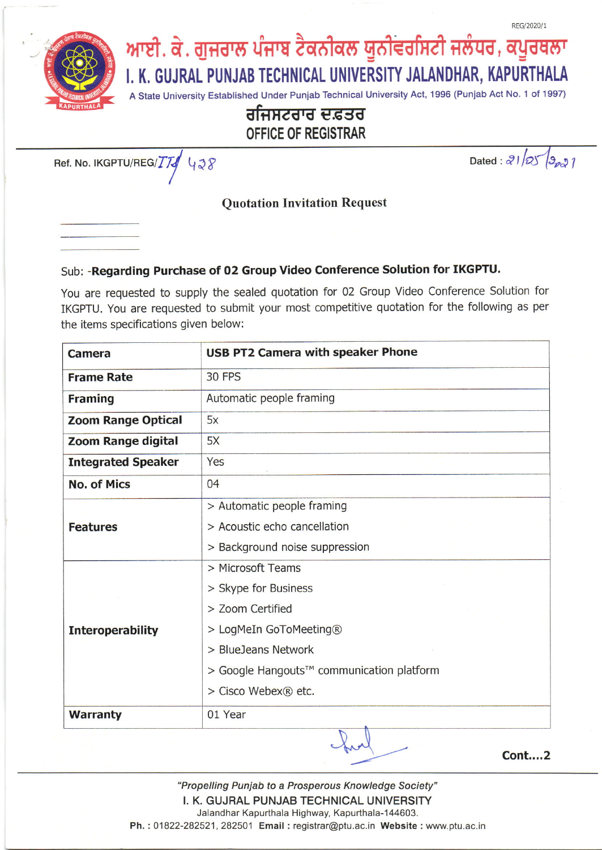

**OFFICE OF REGISTRAR** 

Ref. No. IKGPTU/REG/TT 428

Dated:  $21/25/9021$ 

**Cont....2** 

## **Quotation Invitation Request**

# Sub: - Regarding Purchase of 02 Group Video Conference Solution for IKGPTU.

You are requested to supply the sealed quotation for 02 Group Video Conference Solution for IKGPTU. You are requested to submit your most competitive quotation for the following as per the items specifications given below:

| <b>Camera</b>             | <b>USB PT2 Camera with speaker Phone</b>  |
|---------------------------|-------------------------------------------|
| <b>Frame Rate</b>         | <b>30 FPS</b>                             |
| <b>Framing</b>            | Automatic people framing                  |
| <b>Zoom Range Optical</b> | 5x                                        |
| Zoom Range digital        | 5X                                        |
| <b>Integrated Speaker</b> | Yes                                       |
| <b>No. of Mics</b>        | 04                                        |
|                           | > Automatic people framing                |
| <b>Features</b>           | > Acoustic echo cancellation              |
|                           | > Background noise suppression            |
|                           | > Microsoft Teams                         |
|                           | > Skype for Business                      |
|                           | > Zoom Certified                          |
| <b>Interoperability</b>   | > LogMeIn GoToMeeting®                    |
|                           | > BlueJeans Network                       |
|                           | > Google Hangouts™ communication platform |
|                           | > Cisco Webex® etc.                       |
| <b>Warranty</b>           | 01 Year                                   |
|                           |                                           |

"Propelling Punjab to a Prosperous Knowledge Society" I. K. GUJRAL PUNJAB TECHNICAL UNIVERSITY Jalandhar Kapurthala Highway, Kapurthala-144603. Ph.: 01822-282521, 282501 Email: registrar@ptu.ac.in Website: www.ptu.ac.in